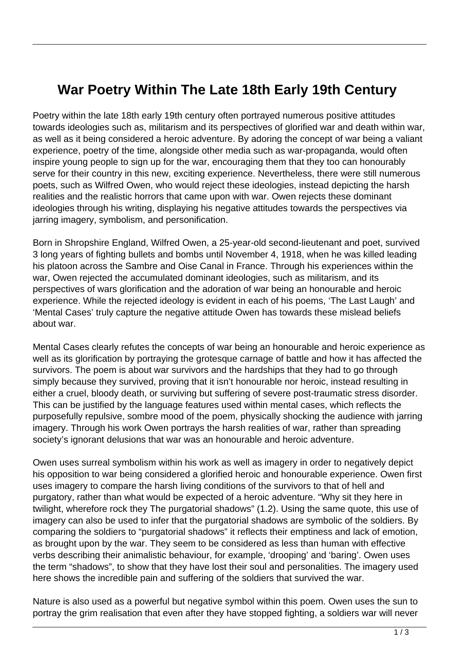## **War Poetry Within The Late 18th Early 19th Century**

Poetry within the late 18th early 19th century often portrayed numerous positive attitudes towards ideologies such as, militarism and its perspectives of glorified war and death within war, as well as it being considered a heroic adventure. By adoring the concept of war being a valiant experience, poetry of the time, alongside other media such as war-propaganda, would often inspire young people to sign up for the war, encouraging them that they too can honourably serve for their country in this new, exciting experience. Nevertheless, there were still numerous poets, such as Wilfred Owen, who would reject these ideologies, instead depicting the harsh realities and the realistic horrors that came upon with war. Owen rejects these dominant ideologies through his writing, displaying his negative attitudes towards the perspectives via jarring imagery, symbolism, and personification.

Born in Shropshire England, Wilfred Owen, a 25-year-old second-lieutenant and poet, survived 3 long years of fighting bullets and bombs until November 4, 1918, when he was killed leading his platoon across the Sambre and Oise Canal in France. Through his experiences within the war, Owen rejected the accumulated dominant ideologies, such as militarism, and its perspectives of wars glorification and the adoration of war being an honourable and heroic experience. While the rejected ideology is evident in each of his poems, 'The Last Laugh' and 'Mental Cases' truly capture the negative attitude Owen has towards these mislead beliefs about war.

Mental Cases clearly refutes the concepts of war being an honourable and heroic experience as well as its glorification by portraying the grotesque carnage of battle and how it has affected the survivors. The poem is about war survivors and the hardships that they had to go through simply because they survived, proving that it isn't honourable nor heroic, instead resulting in either a cruel, bloody death, or surviving but suffering of severe post-traumatic stress disorder. This can be justified by the language features used within mental cases, which reflects the purposefully repulsive, sombre mood of the poem, physically shocking the audience with jarring imagery. Through his work Owen portrays the harsh realities of war, rather than spreading society's ignorant delusions that war was an honourable and heroic adventure.

Owen uses surreal symbolism within his work as well as imagery in order to negatively depict his opposition to war being considered a glorified heroic and honourable experience. Owen first uses imagery to compare the harsh living conditions of the survivors to that of hell and purgatory, rather than what would be expected of a heroic adventure. "Why sit they here in twilight, wherefore rock they The purgatorial shadows" (1.2). Using the same quote, this use of imagery can also be used to infer that the purgatorial shadows are symbolic of the soldiers. By comparing the soldiers to "purgatorial shadows" it reflects their emptiness and lack of emotion, as brought upon by the war. They seem to be considered as less than human with effective verbs describing their animalistic behaviour, for example, 'drooping' and 'baring'. Owen uses the term "shadows", to show that they have lost their soul and personalities. The imagery used here shows the incredible pain and suffering of the soldiers that survived the war.

Nature is also used as a powerful but negative symbol within this poem. Owen uses the sun to portray the grim realisation that even after they have stopped fighting, a soldiers war will never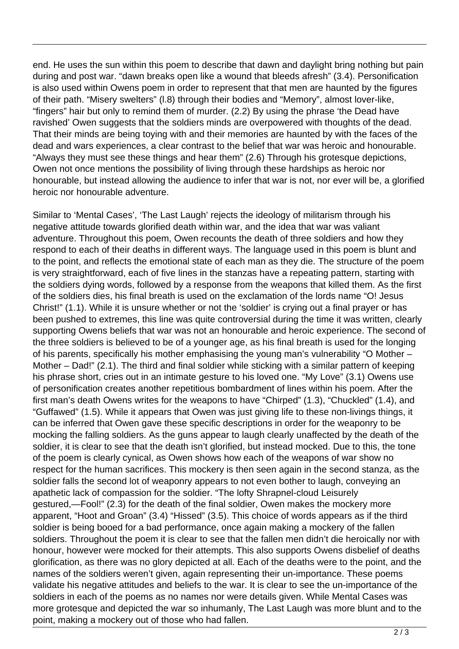end. He uses the sun within this poem to describe that dawn and daylight bring nothing but pain during and post war. "dawn breaks open like a wound that bleeds afresh" (3.4). Personification is also used within Owens poem in order to represent that that men are haunted by the figures of their path. "Misery swelters" (l.8) through their bodies and "Memory", almost lover-like, "fingers" hair but only to remind them of murder. (2.2) By using the phrase 'the Dead have ravished' Owen suggests that the soldiers minds are overpowered with thoughts of the dead. That their minds are being toying with and their memories are haunted by with the faces of the dead and wars experiences, a clear contrast to the belief that war was heroic and honourable. "Always they must see these things and hear them" (2.6) Through his grotesque depictions, Owen not once mentions the possibility of living through these hardships as heroic nor honourable, but instead allowing the audience to infer that war is not, nor ever will be, a glorified heroic nor honourable adventure.

Similar to 'Mental Cases', 'The Last Laugh' rejects the ideology of militarism through his negative attitude towards glorified death within war, and the idea that war was valiant adventure. Throughout this poem, Owen recounts the death of three soldiers and how they respond to each of their deaths in different ways. The language used in this poem is blunt and to the point, and reflects the emotional state of each man as they die. The structure of the poem is very straightforward, each of five lines in the stanzas have a repeating pattern, starting with the soldiers dying words, followed by a response from the weapons that killed them. As the first of the soldiers dies, his final breath is used on the exclamation of the lords name "O! Jesus Christ!" (1.1). While it is unsure whether or not the 'soldier' is crying out a final prayer or has been pushed to extremes, this line was quite controversial during the time it was written, clearly supporting Owens beliefs that war was not an honourable and heroic experience. The second of the three soldiers is believed to be of a younger age, as his final breath is used for the longing of his parents, specifically his mother emphasising the young man's vulnerability "O Mother – Mother – Dad!" (2.1). The third and final soldier while sticking with a similar pattern of keeping his phrase short, cries out in an intimate gesture to his loved one. "My Love" (3.1) Owens use of personification creates another repetitious bombardment of lines within his poem. After the first man's death Owens writes for the weapons to have "Chirped" (1.3), "Chuckled" (1.4), and "Guffawed" (1.5). While it appears that Owen was just giving life to these non-livings things, it can be inferred that Owen gave these specific descriptions in order for the weaponry to be mocking the falling soldiers. As the guns appear to laugh clearly unaffected by the death of the soldier, it is clear to see that the death isn't glorified, but instead mocked. Due to this, the tone of the poem is clearly cynical, as Owen shows how each of the weapons of war show no respect for the human sacrifices. This mockery is then seen again in the second stanza, as the soldier falls the second lot of weaponry appears to not even bother to laugh, conveying an apathetic lack of compassion for the soldier. "The lofty Shrapnel-cloud Leisurely gestured,—Fool!" (2.3) for the death of the final soldier, Owen makes the mockery more apparent, "Hoot and Groan" (3.4) "Hissed" (3.5). This choice of words appears as if the third soldier is being booed for a bad performance, once again making a mockery of the fallen soldiers. Throughout the poem it is clear to see that the fallen men didn't die heroically nor with honour, however were mocked for their attempts. This also supports Owens disbelief of deaths glorification, as there was no glory depicted at all. Each of the deaths were to the point, and the names of the soldiers weren't given, again representing their un-importance. These poems validate his negative attitudes and beliefs to the war. It is clear to see the un-importance of the soldiers in each of the poems as no names nor were details given. While Mental Cases was more grotesque and depicted the war so inhumanly, The Last Laugh was more blunt and to the point, making a mockery out of those who had fallen.